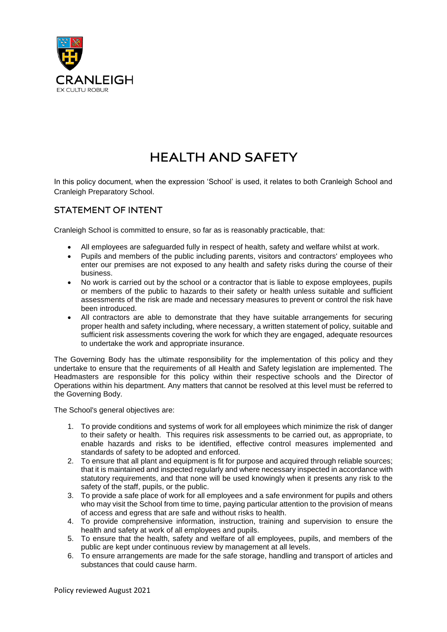

# **HEALTH AND SAFETY**

In this policy document, when the expression 'School' is used, it relates to both Cranleigh School and Cranleigh Preparatory School.

# **STATEMENT OF INTENT**

Cranleigh School is committed to ensure, so far as is reasonably practicable, that:

- All employees are safeguarded fully in respect of health, safety and welfare whilst at work.
- Pupils and members of the public including parents, visitors and contractors' employees who enter our premises are not exposed to any health and safety risks during the course of their business.
- No work is carried out by the school or a contractor that is liable to expose employees, pupils or members of the public to hazards to their safety or health unless suitable and sufficient assessments of the risk are made and necessary measures to prevent or control the risk have been introduced.
- All contractors are able to demonstrate that they have suitable arrangements for securing proper health and safety including, where necessary, a written statement of policy, suitable and sufficient risk assessments covering the work for which they are engaged, adequate resources to undertake the work and appropriate insurance.

The Governing Body has the ultimate responsibility for the implementation of this policy and they undertake to ensure that the requirements of all Health and Safety legislation are implemented. The Headmasters are responsible for this policy within their respective schools and the Director of Operations within his department. Any matters that cannot be resolved at this level must be referred to the Governing Body.

The School's general objectives are:

- 1. To provide conditions and systems of work for all employees which minimize the risk of danger to their safety or health. This requires risk assessments to be carried out, as appropriate, to enable hazards and risks to be identified, effective control measures implemented and standards of safety to be adopted and enforced.
- 2. To ensure that all plant and equipment is fit for purpose and acquired through reliable sources; that it is maintained and inspected regularly and where necessary inspected in accordance with statutory requirements, and that none will be used knowingly when it presents any risk to the safety of the staff, pupils, or the public.
- 3. To provide a safe place of work for all employees and a safe environment for pupils and others who may visit the School from time to time, paying particular attention to the provision of means of access and egress that are safe and without risks to health.
- 4. To provide comprehensive information, instruction, training and supervision to ensure the health and safety at work of all employees and pupils.
- 5. To ensure that the health, safety and welfare of all employees, pupils, and members of the public are kept under continuous review by management at all levels.
- 6. To ensure arrangements are made for the safe storage, handling and transport of articles and substances that could cause harm.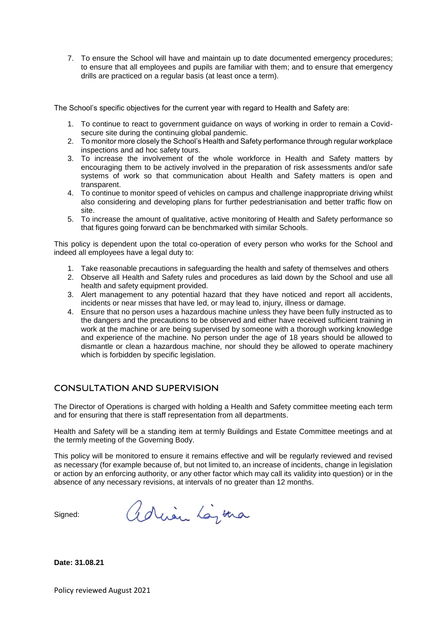7. To ensure the School will have and maintain up to date documented emergency procedures; to ensure that all employees and pupils are familiar with them; and to ensure that emergency drills are practiced on a regular basis (at least once a term).

The School's specific objectives for the current year with regard to Health and Safety are:

- 1. To continue to react to government guidance on ways of working in order to remain a Covidsecure site during the continuing global pandemic.
- 2. To monitor more closely the School's Health and Safety performance through regular workplace inspections and ad hoc safety tours.
- 3. To increase the involvement of the whole workforce in Health and Safety matters by encouraging them to be actively involved in the preparation of risk assessments and/or safe systems of work so that communication about Health and Safety matters is open and transparent.
- 4. To continue to monitor speed of vehicles on campus and challenge inappropriate driving whilst also considering and developing plans for further pedestrianisation and better traffic flow on site.
- 5. To increase the amount of qualitative, active monitoring of Health and Safety performance so that figures going forward can be benchmarked with similar Schools.

This policy is dependent upon the total co-operation of every person who works for the School and indeed all employees have a legal duty to:

- 1. Take reasonable precautions in safeguarding the health and safety of themselves and others
- 2. Observe all Health and Safety rules and procedures as laid down by the School and use all health and safety equipment provided.
- 3. Alert management to any potential hazard that they have noticed and report all accidents, incidents or near misses that have led, or may lead to, injury, illness or damage.
- 4. Ensure that no person uses a hazardous machine unless they have been fully instructed as to the dangers and the precautions to be observed and either have received sufficient training in work at the machine or are being supervised by someone with a thorough working knowledge and experience of the machine. No person under the age of 18 years should be allowed to dismantle or clean a hazardous machine, nor should they be allowed to operate machinery which is forbidden by specific legislation.

# **CONSULTATION AND SUPERVISION**

The Director of Operations is charged with holding a Health and Safety committee meeting each term and for ensuring that there is staff representation from all departments.

Health and Safety will be a standing item at termly Buildings and Estate Committee meetings and at the termly meeting of the Governing Body.

This policy will be monitored to ensure it remains effective and will be regularly reviewed and revised as necessary (for example because of, but not limited to, an increase of incidents, change in legislation or action by an enforcing authority, or any other factor which may call its validity into question) or in the absence of any necessary revisions, at intervals of no greater than 12 months.

Signed:

adrian Lazina

**Date: 31.08.21**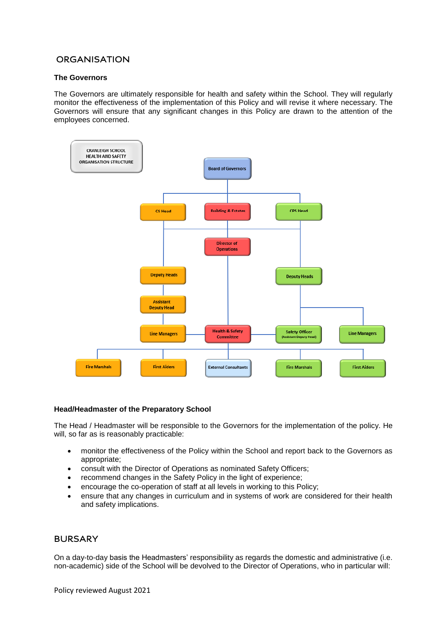# **ORGANISATION**

# **The Governors**

The Governors are ultimately responsible for health and safety within the School. They will regularly monitor the effectiveness of the implementation of this Policy and will revise it where necessary. The Governors will ensure that any significant changes in this Policy are drawn to the attention of the employees concerned.



## **Head/Headmaster of the Preparatory School**

The Head / Headmaster will be responsible to the Governors for the implementation of the policy. He will, so far as is reasonably practicable:

- monitor the effectiveness of the Policy within the School and report back to the Governors as appropriate;
- consult with the Director of Operations as nominated Safety Officers;
- recommend changes in the Safety Policy in the light of experience;
- encourage the co-operation of staff at all levels in working to this Policy;
- ensure that any changes in curriculum and in systems of work are considered for their health and safety implications.

# **BURSARY**

On a day-to-day basis the Headmasters' responsibility as regards the domestic and administrative (i.e. non-academic) side of the School will be devolved to the Director of Operations, who in particular will: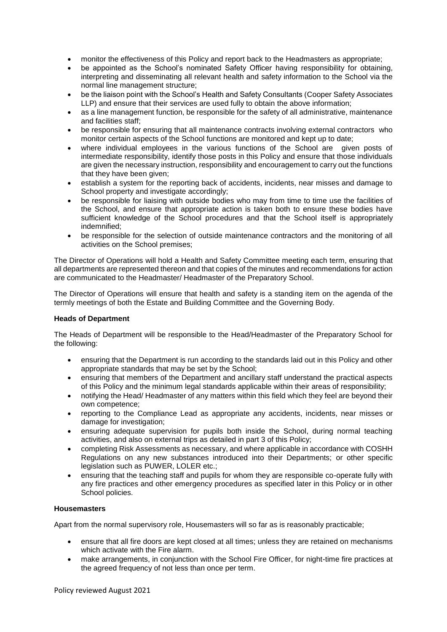- monitor the effectiveness of this Policy and report back to the Headmasters as appropriate;
- be appointed as the School's nominated Safety Officer having responsibility for obtaining, interpreting and disseminating all relevant health and safety information to the School via the normal line management structure;
- be the liaison point with the School's Health and Safety Consultants (Cooper Safety Associates LLP) and ensure that their services are used fully to obtain the above information;
- as a line management function, be responsible for the safety of all administrative, maintenance and facilities staff:
- be responsible for ensuring that all maintenance contracts involving external contractors who monitor certain aspects of the School functions are monitored and kept up to date;
- where individual employees in the various functions of the School are given posts of intermediate responsibility, identify those posts in this Policy and ensure that those individuals are given the necessary instruction, responsibility and encouragement to carry out the functions that they have been given;
- establish a system for the reporting back of accidents, incidents, near misses and damage to School property and investigate accordingly;
- be responsible for liaising with outside bodies who may from time to time use the facilities of the School, and ensure that appropriate action is taken both to ensure these bodies have sufficient knowledge of the School procedures and that the School itself is appropriately indemnified;
- be responsible for the selection of outside maintenance contractors and the monitoring of all activities on the School premises;

The Director of Operations will hold a Health and Safety Committee meeting each term, ensuring that all departments are represented thereon and that copies of the minutes and recommendations for action are communicated to the Headmaster/ Headmaster of the Preparatory School.

The Director of Operations will ensure that health and safety is a standing item on the agenda of the termly meetings of both the Estate and Building Committee and the Governing Body.

## **Heads of Department**

The Heads of Department will be responsible to the Head/Headmaster of the Preparatory School for the following:

- ensuring that the Department is run according to the standards laid out in this Policy and other appropriate standards that may be set by the School;
- ensuring that members of the Department and ancillary staff understand the practical aspects of this Policy and the minimum legal standards applicable within their areas of responsibility;
- notifying the Head/ Headmaster of any matters within this field which they feel are beyond their own competence;
- reporting to the Compliance Lead as appropriate any accidents, incidents, near misses or damage for investigation;
- ensuring adequate supervision for pupils both inside the School, during normal teaching activities, and also on external trips as detailed in part 3 of this Policy;
- completing Risk Assessments as necessary, and where applicable in accordance with COSHH Regulations on any new substances introduced into their Departments; or other specific legislation such as PUWER, LOLER etc.;
- ensuring that the teaching staff and pupils for whom they are responsible co-operate fully with any fire practices and other emergency procedures as specified later in this Policy or in other School policies.

# **Housemasters**

Apart from the normal supervisory role, Housemasters will so far as is reasonably practicable;

- ensure that all fire doors are kept closed at all times; unless they are retained on mechanisms which activate with the Fire alarm.
- make arrangements, in conjunction with the School Fire Officer, for night-time fire practices at the agreed frequency of not less than once per term.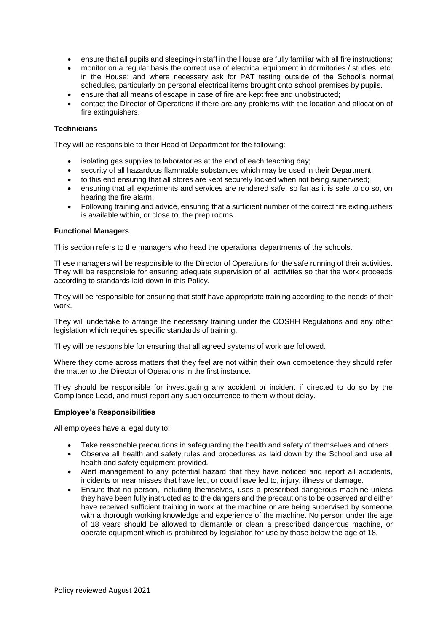- ensure that all pupils and sleeping-in staff in the House are fully familiar with all fire instructions;
- monitor on a regular basis the correct use of electrical equipment in dormitories / studies, etc. in the House; and where necessary ask for PAT testing outside of the School's normal schedules, particularly on personal electrical items brought onto school premises by pupils.
- ensure that all means of escape in case of fire are kept free and unobstructed;
- contact the Director of Operations if there are any problems with the location and allocation of fire extinguishers.

## **Technicians**

They will be responsible to their Head of Department for the following:

- isolating gas supplies to laboratories at the end of each teaching day;
- security of all hazardous flammable substances which may be used in their Department;
- to this end ensuring that all stores are kept securely locked when not being supervised;
- ensuring that all experiments and services are rendered safe, so far as it is safe to do so, on hearing the fire alarm;
- Following training and advice, ensuring that a sufficient number of the correct fire extinguishers is available within, or close to, the prep rooms.

## **Functional Managers**

This section refers to the managers who head the operational departments of the schools.

These managers will be responsible to the Director of Operations for the safe running of their activities. They will be responsible for ensuring adequate supervision of all activities so that the work proceeds according to standards laid down in this Policy.

They will be responsible for ensuring that staff have appropriate training according to the needs of their work.

They will undertake to arrange the necessary training under the COSHH Regulations and any other legislation which requires specific standards of training.

They will be responsible for ensuring that all agreed systems of work are followed.

Where they come across matters that they feel are not within their own competence they should refer the matter to the Director of Operations in the first instance.

They should be responsible for investigating any accident or incident if directed to do so by the Compliance Lead, and must report any such occurrence to them without delay.

#### **Employee's Responsibilities**

All employees have a legal duty to:

- Take reasonable precautions in safeguarding the health and safety of themselves and others.
- Observe all health and safety rules and procedures as laid down by the School and use all health and safety equipment provided.
- Alert management to any potential hazard that they have noticed and report all accidents, incidents or near misses that have led, or could have led to, injury, illness or damage.
- Ensure that no person, including themselves, uses a prescribed dangerous machine unless they have been fully instructed as to the dangers and the precautions to be observed and either have received sufficient training in work at the machine or are being supervised by someone with a thorough working knowledge and experience of the machine. No person under the age of 18 years should be allowed to dismantle or clean a prescribed dangerous machine, or operate equipment which is prohibited by legislation for use by those below the age of 18.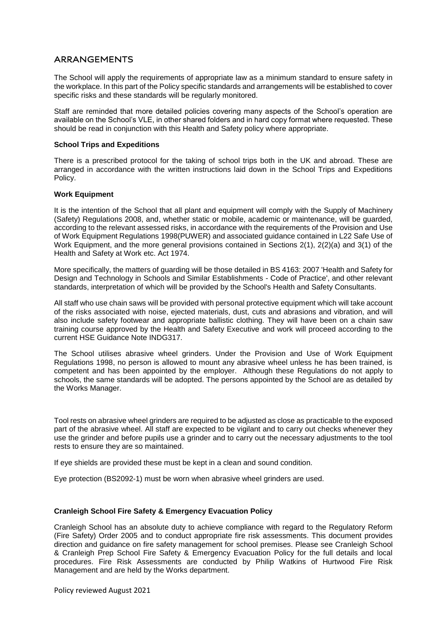# **ARRANGEMENTS**

The School will apply the requirements of appropriate law as a minimum standard to ensure safety in the workplace. In this part of the Policy specific standards and arrangements will be established to cover specific risks and these standards will be regularly monitored.

Staff are reminded that more detailed policies covering many aspects of the School's operation are available on the School's VLE, in other shared folders and in hard copy format where requested. These should be read in conjunction with this Health and Safety policy where appropriate.

## **School Trips and Expeditions**

There is a prescribed protocol for the taking of school trips both in the UK and abroad. These are arranged in accordance with the written instructions laid down in the School Trips and Expeditions Policy.

## **Work Equipment**

It is the intention of the School that all plant and equipment will comply with the Supply of Machinery (Safety) Regulations 2008, and, whether static or mobile, academic or maintenance, will be guarded, according to the relevant assessed risks, in accordance with the requirements of the Provision and Use of Work Equipment Regulations 1998(PUWER) and associated guidance contained in L22 Safe Use of Work Equipment, and the more general provisions contained in Sections 2(1), 2(2)(a) and 3(1) of the Health and Safety at Work etc. Act 1974.

More specifically, the matters of guarding will be those detailed in BS 4163: 2007 'Health and Safety for Design and Technology in Schools and Similar Establishments - Code of Practice', and other relevant standards, interpretation of which will be provided by the School's Health and Safety Consultants.

All staff who use chain saws will be provided with personal protective equipment which will take account of the risks associated with noise, ejected materials, dust, cuts and abrasions and vibration, and will also include safety footwear and appropriate ballistic clothing. They will have been on a chain saw training course approved by the Health and Safety Executive and work will proceed according to the current HSE Guidance Note INDG317.

The School utilises abrasive wheel grinders. Under the Provision and Use of Work Equipment Regulations 1998, no person is allowed to mount any abrasive wheel unless he has been trained, is competent and has been appointed by the employer. Although these Regulations do not apply to schools, the same standards will be adopted. The persons appointed by the School are as detailed by the Works Manager.

Tool rests on abrasive wheel grinders are required to be adjusted as close as practicable to the exposed part of the abrasive wheel. All staff are expected to be vigilant and to carry out checks whenever they use the grinder and before pupils use a grinder and to carry out the necessary adjustments to the tool rests to ensure they are so maintained.

If eye shields are provided these must be kept in a clean and sound condition.

Eye protection (BS2092-1) must be worn when abrasive wheel grinders are used.

# **Cranleigh School Fire Safety & Emergency Evacuation Policy**

Cranleigh School has an absolute duty to achieve compliance with regard to the Regulatory Reform (Fire Safety) Order 2005 and to conduct appropriate fire risk assessments. This document provides direction and guidance on fire safety management for school premises. Please see Cranleigh School & Cranleigh Prep School Fire Safety & Emergency Evacuation Policy for the full details and local procedures. Fire Risk Assessments are conducted by Philip Watkins of Hurtwood Fire Risk Management and are held by the Works department.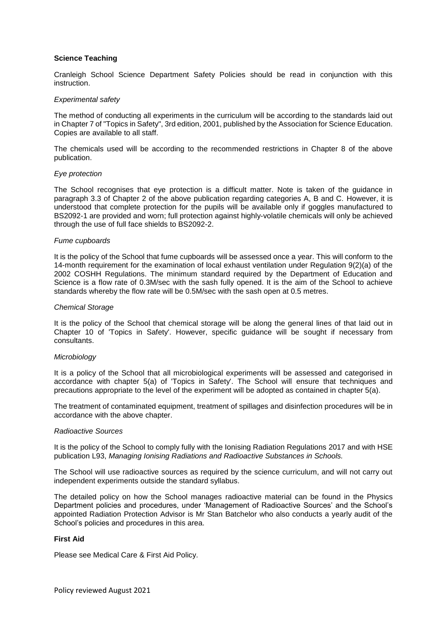## **Science Teaching**

Cranleigh School Science Department Safety Policies should be read in conjunction with this instruction.

#### *Experimental safety*

The method of conducting all experiments in the curriculum will be according to the standards laid out in Chapter 7 of "Topics in Safety", 3rd edition, 2001, published by the Association for Science Education. Copies are available to all staff.

The chemicals used will be according to the recommended restrictions in Chapter 8 of the above publication.

#### *Eye protection*

The School recognises that eye protection is a difficult matter. Note is taken of the guidance in paragraph 3.3 of Chapter 2 of the above publication regarding categories A, B and C. However, it is understood that complete protection for the pupils will be available only if goggles manufactured to BS2092-1 are provided and worn; full protection against highly-volatile chemicals will only be achieved through the use of full face shields to BS2092-2.

#### *Fume cupboards*

It is the policy of the School that fume cupboards will be assessed once a year. This will conform to the 14-month requirement for the examination of local exhaust ventilation under Regulation 9(2)(a) of the 2002 COSHH Regulations. The minimum standard required by the Department of Education and Science is a flow rate of 0.3M/sec with the sash fully opened. It is the aim of the School to achieve standards whereby the flow rate will be 0.5M/sec with the sash open at 0.5 metres.

#### *Chemical Storage*

It is the policy of the School that chemical storage will be along the general lines of that laid out in Chapter 10 of 'Topics in Safety'. However, specific guidance will be sought if necessary from consultants.

#### *Microbiology*

It is a policy of the School that all microbiological experiments will be assessed and categorised in accordance with chapter 5(a) of 'Topics in Safety'. The School will ensure that techniques and precautions appropriate to the level of the experiment will be adopted as contained in chapter 5(a).

The treatment of contaminated equipment, treatment of spillages and disinfection procedures will be in accordance with the above chapter.

#### *Radioactive Sources*

It is the policy of the School to comply fully with the Ionising Radiation Regulations 2017 and with HSE publication L93, *Managing Ionising Radiations and Radioactive Substances in Schools.*

The School will use radioactive sources as required by the science curriculum, and will not carry out independent experiments outside the standard syllabus.

The detailed policy on how the School manages radioactive material can be found in the Physics Department policies and procedures, under 'Management of Radioactive Sources' and the School's appointed Radiation Protection Advisor is Mr Stan Batchelor who also conducts a yearly audit of the School's policies and procedures in this area.

## **First Aid**

Please see Medical Care & First Aid Policy.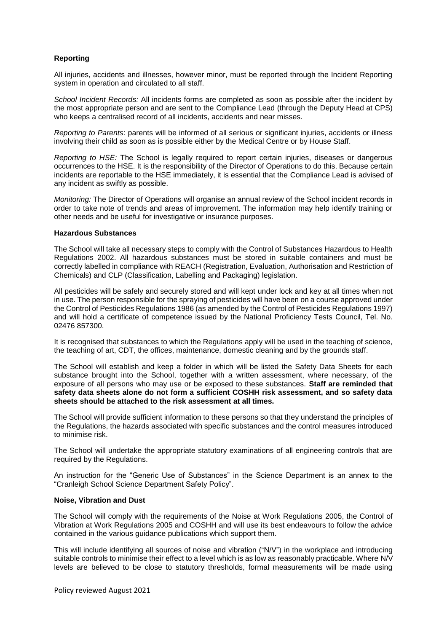# **Reporting**

All injuries, accidents and illnesses, however minor, must be reported through the Incident Reporting system in operation and circulated to all staff.

*School Incident Records:* All incidents forms are completed as soon as possible after the incident by the most appropriate person and are sent to the Compliance Lead (through the Deputy Head at CPS) who keeps a centralised record of all incidents, accidents and near misses.

*Reporting to Parents*: parents will be informed of all serious or significant injuries, accidents or illness involving their child as soon as is possible either by the Medical Centre or by House Staff.

*Reporting to HSE:* The School is legally required to report certain injuries, diseases or dangerous occurrences to the HSE. It is the responsibility of the Director of Operations to do this. Because certain incidents are reportable to the HSE immediately, it is essential that the Compliance Lead is advised of any incident as swiftly as possible.

*Monitoring:* The Director of Operations will organise an annual review of the School incident records in order to take note of trends and areas of improvement. The information may help identify training or other needs and be useful for investigative or insurance purposes.

#### **Hazardous Substances**

The School will take all necessary steps to comply with the Control of Substances Hazardous to Health Regulations 2002. All hazardous substances must be stored in suitable containers and must be correctly labelled in compliance with REACH (Registration, Evaluation, Authorisation and Restriction of Chemicals) and CLP (Classification, Labelling and Packaging) legislation.

All pesticides will be safely and securely stored and will kept under lock and key at all times when not in use. The person responsible for the spraying of pesticides will have been on a course approved under the Control of Pesticides Regulations 1986 (as amended by the Control of Pesticides Regulations 1997) and will hold a certificate of competence issued by the National Proficiency Tests Council, Tel. No. 02476 857300.

It is recognised that substances to which the Regulations apply will be used in the teaching of science, the teaching of art, CDT, the offices, maintenance, domestic cleaning and by the grounds staff.

The School will establish and keep a folder in which will be listed the Safety Data Sheets for each substance brought into the School, together with a written assessment, where necessary, of the exposure of all persons who may use or be exposed to these substances. **Staff are reminded that safety data sheets alone do not form a sufficient COSHH risk assessment, and so safety data sheets should be attached to the risk assessment at all times.**

The School will provide sufficient information to these persons so that they understand the principles of the Regulations, the hazards associated with specific substances and the control measures introduced to minimise risk.

The School will undertake the appropriate statutory examinations of all engineering controls that are required by the Regulations.

An instruction for the "Generic Use of Substances" in the Science Department is an annex to the "Cranleigh School Science Department Safety Policy".

#### **Noise, Vibration and Dust**

The School will comply with the requirements of the Noise at Work Regulations 2005, the Control of Vibration at Work Regulations 2005 and COSHH and will use its best endeavours to follow the advice contained in the various guidance publications which support them.

This will include identifying all sources of noise and vibration ("N/V") in the workplace and introducing suitable controls to minimise their effect to a level which is as low as reasonably practicable. Where N/V levels are believed to be close to statutory thresholds, formal measurements will be made using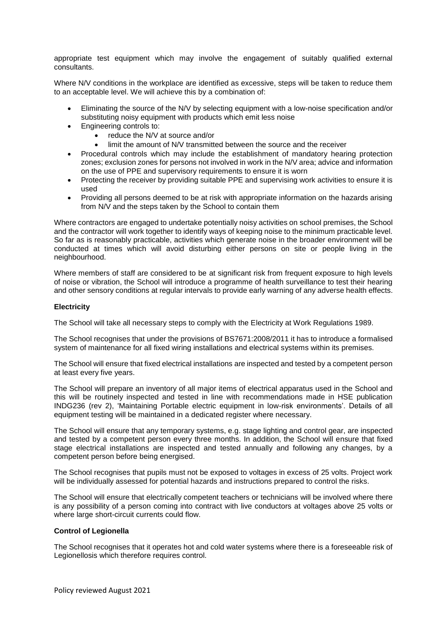appropriate test equipment which may involve the engagement of suitably qualified external consultants.

Where N/V conditions in the workplace are identified as excessive, steps will be taken to reduce them to an acceptable level. We will achieve this by a combination of:

- Eliminating the source of the N/V by selecting equipment with a low-noise specification and/or substituting noisy equipment with products which emit less noise
- Engineering controls to:
	- reduce the N/V at source and/or
	- limit the amount of N/V transmitted between the source and the receiver
- Procedural controls which may include the establishment of mandatory hearing protection zones; exclusion zones for persons not involved in work in the N/V area; advice and information on the use of PPE and supervisory requirements to ensure it is worn
- Protecting the receiver by providing suitable PPE and supervising work activities to ensure it is used
- Providing all persons deemed to be at risk with appropriate information on the hazards arising from N/V and the steps taken by the School to contain them

Where contractors are engaged to undertake potentially noisy activities on school premises, the School and the contractor will work together to identify ways of keeping noise to the minimum practicable level. So far as is reasonably practicable, activities which generate noise in the broader environment will be conducted at times which will avoid disturbing either persons on site or people living in the neighbourhood.

Where members of staff are considered to be at significant risk from frequent exposure to high levels of noise or vibration, the School will introduce a programme of health surveillance to test their hearing and other sensory conditions at regular intervals to provide early warning of any adverse health effects.

## **Electricity**

The School will take all necessary steps to comply with the Electricity at Work Regulations 1989.

The School recognises that under the provisions of BS7671:2008/2011 it has to introduce a formalised system of maintenance for all fixed wiring installations and electrical systems within its premises.

The School will ensure that fixed electrical installations are inspected and tested by a competent person at least every five years.

The School will prepare an inventory of all major items of electrical apparatus used in the School and this will be routinely inspected and tested in line with recommendations made in HSE publication INDG236 (rev 2), 'Maintaining Portable electric equipment in low-risk environments'. Details of all equipment testing will be maintained in a dedicated register where necessary.

The School will ensure that any temporary systems, e.g. stage lighting and control gear, are inspected and tested by a competent person every three months. In addition, the School will ensure that fixed stage electrical installations are inspected and tested annually and following any changes, by a competent person before being energised.

The School recognises that pupils must not be exposed to voltages in excess of 25 volts. Project work will be individually assessed for potential hazards and instructions prepared to control the risks.

The School will ensure that electrically competent teachers or technicians will be involved where there is any possibility of a person coming into contract with live conductors at voltages above 25 volts or where large short-circuit currents could flow.

#### **Control of Legionella**

The School recognises that it operates hot and cold water systems where there is a foreseeable risk of Legionellosis which therefore requires control.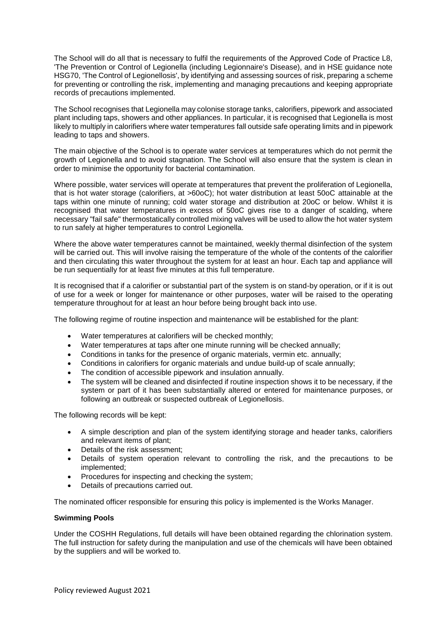The School will do all that is necessary to fulfil the requirements of the Approved Code of Practice L8, 'The Prevention or Control of Legionella (including Legionnaire's Disease), and in HSE guidance note HSG70, 'The Control of Legionellosis', by identifying and assessing sources of risk, preparing a scheme for preventing or controlling the risk, implementing and managing precautions and keeping appropriate records of precautions implemented.

The School recognises that Legionella may colonise storage tanks, calorifiers, pipework and associated plant including taps, showers and other appliances. In particular, it is recognised that Legionella is most likely to multiply in calorifiers where water temperatures fall outside safe operating limits and in pipework leading to taps and showers.

The main objective of the School is to operate water services at temperatures which do not permit the growth of Legionella and to avoid stagnation. The School will also ensure that the system is clean in order to minimise the opportunity for bacterial contamination.

Where possible, water services will operate at temperatures that prevent the proliferation of Legionella, that is hot water storage (calorifiers, at >60oC); hot water distribution at least 50oC attainable at the taps within one minute of running; cold water storage and distribution at 20oC or below. Whilst it is recognised that water temperatures in excess of 50oC gives rise to a danger of scalding, where necessary "fail safe" thermostatically controlled mixing valves will be used to allow the hot water system to run safely at higher temperatures to control Legionella.

Where the above water temperatures cannot be maintained, weekly thermal disinfection of the system will be carried out. This will involve raising the temperature of the whole of the contents of the calorifier and then circulating this water throughout the system for at least an hour. Each tap and appliance will be run sequentially for at least five minutes at this full temperature.

It is recognised that if a calorifier or substantial part of the system is on stand-by operation, or if it is out of use for a week or longer for maintenance or other purposes, water will be raised to the operating temperature throughout for at least an hour before being brought back into use.

The following regime of routine inspection and maintenance will be established for the plant:

- Water temperatures at calorifiers will be checked monthly;
- Water temperatures at taps after one minute running will be checked annually;
- Conditions in tanks for the presence of organic materials, vermin etc. annually;
- Conditions in calorifiers for organic materials and undue build-up of scale annually;
- The condition of accessible pipework and insulation annually.
- The system will be cleaned and disinfected if routine inspection shows it to be necessary, if the system or part of it has been substantially altered or entered for maintenance purposes, or following an outbreak or suspected outbreak of Legionellosis.

The following records will be kept:

- A simple description and plan of the system identifying storage and header tanks, calorifiers and relevant items of plant;
- Details of the risk assessment;
- Details of system operation relevant to controlling the risk, and the precautions to be implemented;
- Procedures for inspecting and checking the system;
- Details of precautions carried out.

The nominated officer responsible for ensuring this policy is implemented is the Works Manager.

#### **Swimming Pools**

Under the COSHH Regulations, full details will have been obtained regarding the chlorination system. The full instruction for safety during the manipulation and use of the chemicals will have been obtained by the suppliers and will be worked to.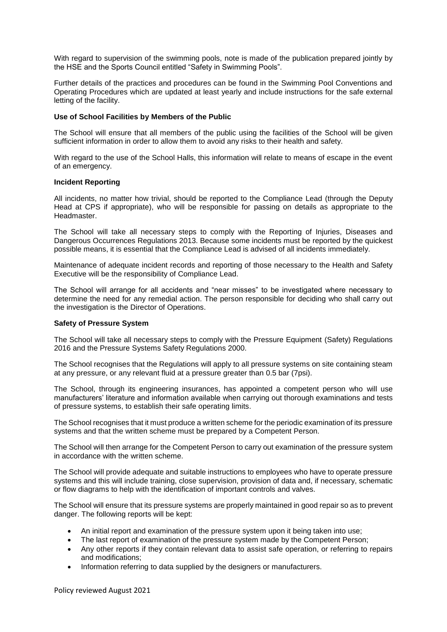With regard to supervision of the swimming pools, note is made of the publication prepared jointly by the HSE and the Sports Council entitled "Safety in Swimming Pools".

Further details of the practices and procedures can be found in the Swimming Pool Conventions and Operating Procedures which are updated at least yearly and include instructions for the safe external letting of the facility.

#### **Use of School Facilities by Members of the Public**

The School will ensure that all members of the public using the facilities of the School will be given sufficient information in order to allow them to avoid any risks to their health and safety.

With regard to the use of the School Halls, this information will relate to means of escape in the event of an emergency.

#### **Incident Reporting**

All incidents, no matter how trivial, should be reported to the Compliance Lead (through the Deputy Head at CPS if appropriate), who will be responsible for passing on details as appropriate to the **Headmaster** 

The School will take all necessary steps to comply with the Reporting of Injuries, Diseases and Dangerous Occurrences Regulations 2013. Because some incidents must be reported by the quickest possible means, it is essential that the Compliance Lead is advised of all incidents immediately.

Maintenance of adequate incident records and reporting of those necessary to the Health and Safety Executive will be the responsibility of Compliance Lead.

The School will arrange for all accidents and "near misses" to be investigated where necessary to determine the need for any remedial action. The person responsible for deciding who shall carry out the investigation is the Director of Operations.

#### **Safety of Pressure System**

The School will take all necessary steps to comply with the Pressure Equipment (Safety) Regulations 2016 and the Pressure Systems Safety Regulations 2000.

The School recognises that the Regulations will apply to all pressure systems on site containing steam at any pressure, or any relevant fluid at a pressure greater than 0.5 bar (7psi).

The School, through its engineering insurances, has appointed a competent person who will use manufacturers' literature and information available when carrying out thorough examinations and tests of pressure systems, to establish their safe operating limits.

The School recognises that it must produce a written scheme for the periodic examination of its pressure systems and that the written scheme must be prepared by a Competent Person.

The School will then arrange for the Competent Person to carry out examination of the pressure system in accordance with the written scheme.

The School will provide adequate and suitable instructions to employees who have to operate pressure systems and this will include training, close supervision, provision of data and, if necessary, schematic or flow diagrams to help with the identification of important controls and valves.

The School will ensure that its pressure systems are properly maintained in good repair so as to prevent danger. The following reports will be kept:

- An initial report and examination of the pressure system upon it being taken into use;
- The last report of examination of the pressure system made by the Competent Person;
- Any other reports if they contain relevant data to assist safe operation, or referring to repairs and modifications;
- Information referring to data supplied by the designers or manufacturers.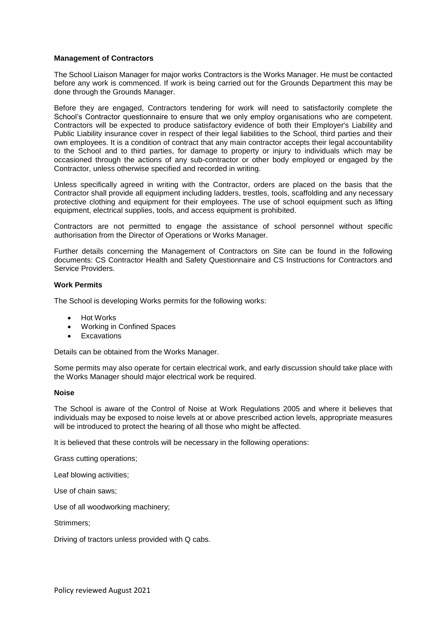## **Management of Contractors**

The School Liaison Manager for major works Contractors is the Works Manager. He must be contacted before any work is commenced. If work is being carried out for the Grounds Department this may be done through the Grounds Manager.

Before they are engaged, Contractors tendering for work will need to satisfactorily complete the School's Contractor questionnaire to ensure that we only employ organisations who are competent. Contractors will be expected to produce satisfactory evidence of both their Employer's Liability and Public Liability insurance cover in respect of their legal liabilities to the School, third parties and their own employees. It is a condition of contract that any main contractor accepts their legal accountability to the School and to third parties, for damage to property or injury to individuals which may be occasioned through the actions of any sub-contractor or other body employed or engaged by the Contractor, unless otherwise specified and recorded in writing.

Unless specifically agreed in writing with the Contractor, orders are placed on the basis that the Contractor shall provide all equipment including ladders, trestles, tools, scaffolding and any necessary protective clothing and equipment for their employees. The use of school equipment such as lifting equipment, electrical supplies, tools, and access equipment is prohibited.

Contractors are not permitted to engage the assistance of school personnel without specific authorisation from the Director of Operations or Works Manager.

Further details concerning the Management of Contractors on Site can be found in the following documents: CS Contractor Health and Safety Questionnaire and CS Instructions for Contractors and Service Providers.

## **Work Permits**

The School is developing Works permits for the following works:

- Hot Works
- Working in Confined Spaces
- **Excavations**

Details can be obtained from the Works Manager.

Some permits may also operate for certain electrical work, and early discussion should take place with the Works Manager should major electrical work be required.

## **Noise**

The School is aware of the Control of Noise at Work Regulations 2005 and where it believes that individuals may be exposed to noise levels at or above prescribed action levels, appropriate measures will be introduced to protect the hearing of all those who might be affected.

It is believed that these controls will be necessary in the following operations:

Grass cutting operations;

Leaf blowing activities;

Use of chain saws;

Use of all woodworking machinery;

Strimmers;

Driving of tractors unless provided with Q cabs.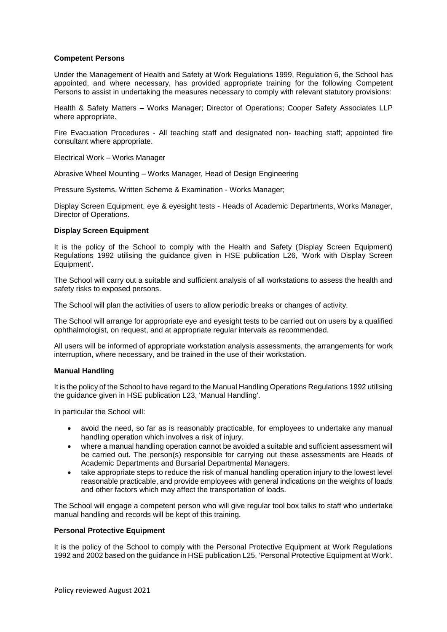## **Competent Persons**

Under the Management of Health and Safety at Work Regulations 1999, Regulation 6, the School has appointed, and where necessary, has provided appropriate training for the following Competent Persons to assist in undertaking the measures necessary to comply with relevant statutory provisions:

Health & Safety Matters – Works Manager; Director of Operations; Cooper Safety Associates LLP where appropriate.

Fire Evacuation Procedures - All teaching staff and designated non- teaching staff; appointed fire consultant where appropriate.

Electrical Work – Works Manager

Abrasive Wheel Mounting – Works Manager, Head of Design Engineering

Pressure Systems, Written Scheme & Examination - Works Manager;

Display Screen Equipment, eye & eyesight tests - Heads of Academic Departments, Works Manager, Director of Operations.

#### **Display Screen Equipment**

It is the policy of the School to comply with the Health and Safety (Display Screen Equipment) Regulations 1992 utilising the guidance given in HSE publication L26, 'Work with Display Screen Equipment'.

The School will carry out a suitable and sufficient analysis of all workstations to assess the health and safety risks to exposed persons.

The School will plan the activities of users to allow periodic breaks or changes of activity.

The School will arrange for appropriate eye and eyesight tests to be carried out on users by a qualified ophthalmologist, on request, and at appropriate regular intervals as recommended.

All users will be informed of appropriate workstation analysis assessments, the arrangements for work interruption, where necessary, and be trained in the use of their workstation.

#### **Manual Handling**

It is the policy of the School to have regard to the Manual Handling Operations Regulations 1992 utilising the guidance given in HSE publication L23, 'Manual Handling'.

In particular the School will:

- avoid the need, so far as is reasonably practicable, for employees to undertake any manual handling operation which involves a risk of injury.
- where a manual handling operation cannot be avoided a suitable and sufficient assessment will be carried out. The person(s) responsible for carrying out these assessments are Heads of Academic Departments and Bursarial Departmental Managers.
- take appropriate steps to reduce the risk of manual handling operation injury to the lowest level reasonable practicable, and provide employees with general indications on the weights of loads and other factors which may affect the transportation of loads.

The School will engage a competent person who will give regular tool box talks to staff who undertake manual handling and records will be kept of this training.

#### **Personal Protective Equipment**

It is the policy of the School to comply with the Personal Protective Equipment at Work Regulations 1992 and 2002 based on the guidance in HSE publication L25, 'Personal Protective Equipment at Work'.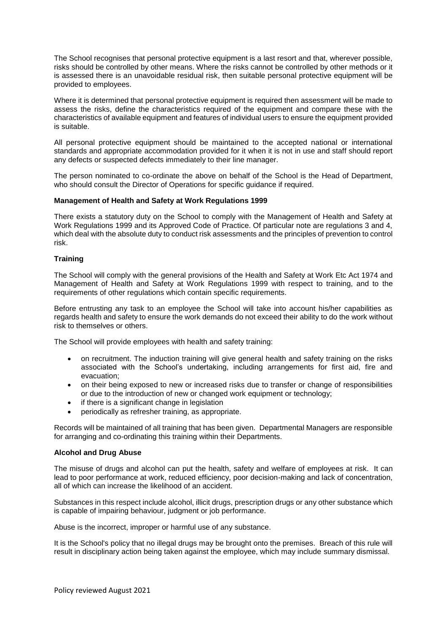The School recognises that personal protective equipment is a last resort and that, wherever possible, risks should be controlled by other means. Where the risks cannot be controlled by other methods or it is assessed there is an unavoidable residual risk, then suitable personal protective equipment will be provided to employees.

Where it is determined that personal protective equipment is required then assessment will be made to assess the risks, define the characteristics required of the equipment and compare these with the characteristics of available equipment and features of individual users to ensure the equipment provided is suitable.

All personal protective equipment should be maintained to the accepted national or international standards and appropriate accommodation provided for it when it is not in use and staff should report any defects or suspected defects immediately to their line manager.

The person nominated to co-ordinate the above on behalf of the School is the Head of Department, who should consult the Director of Operations for specific guidance if required.

#### **Management of Health and Safety at Work Regulations 1999**

There exists a statutory duty on the School to comply with the Management of Health and Safety at Work Regulations 1999 and its Approved Code of Practice. Of particular note are regulations 3 and 4, which deal with the absolute duty to conduct risk assessments and the principles of prevention to control risk.

#### **Training**

The School will comply with the general provisions of the Health and Safety at Work Etc Act 1974 and Management of Health and Safety at Work Regulations 1999 with respect to training, and to the requirements of other regulations which contain specific requirements.

Before entrusting any task to an employee the School will take into account his/her capabilities as regards health and safety to ensure the work demands do not exceed their ability to do the work without risk to themselves or others.

The School will provide employees with health and safety training:

- on recruitment. The induction training will give general health and safety training on the risks associated with the School's undertaking, including arrangements for first aid, fire and evacuation;
- on their being exposed to new or increased risks due to transfer or change of responsibilities or due to the introduction of new or changed work equipment or technology;
- if there is a significant change in legislation
- periodically as refresher training, as appropriate.

Records will be maintained of all training that has been given. Departmental Managers are responsible for arranging and co-ordinating this training within their Departments.

#### **Alcohol and Drug Abuse**

The misuse of drugs and alcohol can put the health, safety and welfare of employees at risk. It can lead to poor performance at work, reduced efficiency, poor decision-making and lack of concentration, all of which can increase the likelihood of an accident.

Substances in this respect include alcohol, illicit drugs, prescription drugs or any other substance which is capable of impairing behaviour, judgment or job performance.

Abuse is the incorrect, improper or harmful use of any substance.

It is the School's policy that no illegal drugs may be brought onto the premises. Breach of this rule will result in disciplinary action being taken against the employee, which may include summary dismissal.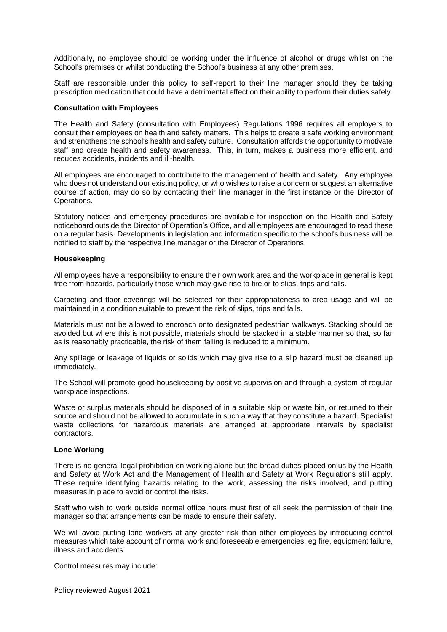Additionally, no employee should be working under the influence of alcohol or drugs whilst on the School's premises or whilst conducting the School's business at any other premises.

Staff are responsible under this policy to self-report to their line manager should they be taking prescription medication that could have a detrimental effect on their ability to perform their duties safely.

#### **Consultation with Employees**

The Health and Safety (consultation with Employees) Regulations 1996 requires all employers to consult their employees on health and safety matters. This helps to create a safe working environment and strengthens the school's health and safety culture. Consultation affords the opportunity to motivate staff and create health and safety awareness. This, in turn, makes a business more efficient, and reduces accidents, incidents and ill-health.

All employees are encouraged to contribute to the management of health and safety. Any employee who does not understand our existing policy, or who wishes to raise a concern or suggest an alternative course of action, may do so by contacting their line manager in the first instance or the Director of Operations.

Statutory notices and emergency procedures are available for inspection on the Health and Safety noticeboard outside the Director of Operation's Office, and all employees are encouraged to read these on a regular basis. Developments in legislation and information specific to the school's business will be notified to staff by the respective line manager or the Director of Operations.

#### **Housekeeping**

All employees have a responsibility to ensure their own work area and the workplace in general is kept free from hazards, particularly those which may give rise to fire or to slips, trips and falls.

Carpeting and floor coverings will be selected for their appropriateness to area usage and will be maintained in a condition suitable to prevent the risk of slips, trips and falls.

Materials must not be allowed to encroach onto designated pedestrian walkways. Stacking should be avoided but where this is not possible, materials should be stacked in a stable manner so that, so far as is reasonably practicable, the risk of them falling is reduced to a minimum.

Any spillage or leakage of liquids or solids which may give rise to a slip hazard must be cleaned up immediately.

The School will promote good housekeeping by positive supervision and through a system of regular workplace inspections.

Waste or surplus materials should be disposed of in a suitable skip or waste bin, or returned to their source and should not be allowed to accumulate in such a way that they constitute a hazard. Specialist waste collections for hazardous materials are arranged at appropriate intervals by specialist contractors.

#### **Lone Working**

There is no general legal prohibition on working alone but the broad duties placed on us by the Health and Safety at Work Act and the Management of Health and Safety at Work Regulations still apply. These require identifying hazards relating to the work, assessing the risks involved, and putting measures in place to avoid or control the risks.

Staff who wish to work outside normal office hours must first of all seek the permission of their line manager so that arrangements can be made to ensure their safety.

We will avoid putting lone workers at any greater risk than other employees by introducing control measures which take account of normal work and foreseeable emergencies, eg fire, equipment failure, illness and accidents.

Control measures may include:

Policy reviewed August 2021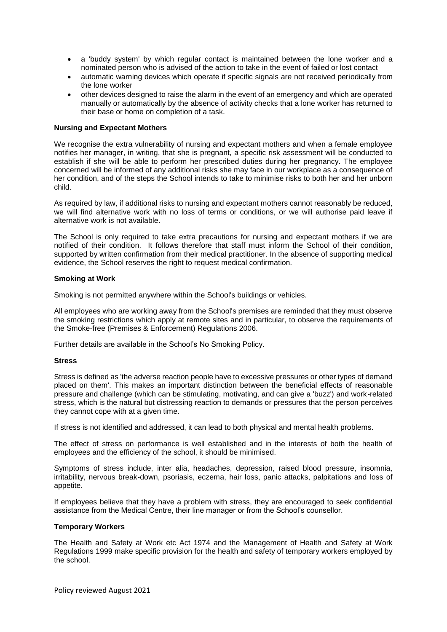- a 'buddy system' by which regular contact is maintained between the lone worker and a nominated person who is advised of the action to take in the event of failed or lost contact
- automatic warning devices which operate if specific signals are not received periodically from the lone worker
- other devices designed to raise the alarm in the event of an emergency and which are operated manually or automatically by the absence of activity checks that a lone worker has returned to their base or home on completion of a task.

#### **Nursing and Expectant Mothers**

We recognise the extra vulnerability of nursing and expectant mothers and when a female employee notifies her manager, in writing, that she is pregnant, a specific risk assessment will be conducted to establish if she will be able to perform her prescribed duties during her pregnancy. The employee concerned will be informed of any additional risks she may face in our workplace as a consequence of her condition, and of the steps the School intends to take to minimise risks to both her and her unborn child.

As required by law, if additional risks to nursing and expectant mothers cannot reasonably be reduced, we will find alternative work with no loss of terms or conditions, or we will authorise paid leave if alternative work is not available.

The School is only required to take extra precautions for nursing and expectant mothers if we are notified of their condition. It follows therefore that staff must inform the School of their condition, supported by written confirmation from their medical practitioner. In the absence of supporting medical evidence, the School reserves the right to request medical confirmation.

#### **Smoking at Work**

Smoking is not permitted anywhere within the School's buildings or vehicles.

All employees who are working away from the School's premises are reminded that they must observe the smoking restrictions which apply at remote sites and in particular, to observe the requirements of the Smoke-free (Premises & Enforcement) Regulations 2006.

Further details are available in the School's No Smoking Policy.

#### **Stress**

Stress is defined as 'the adverse reaction people have to excessive pressures or other types of demand placed on them'. This makes an important distinction between the beneficial effects of reasonable pressure and challenge (which can be stimulating, motivating, and can give a 'buzz') and work-related stress, which is the natural but distressing reaction to demands or pressures that the person perceives they cannot cope with at a given time.

If stress is not identified and addressed, it can lead to both physical and mental health problems.

The effect of stress on performance is well established and in the interests of both the health of employees and the efficiency of the school, it should be minimised.

Symptoms of stress include, inter alia, headaches, depression, raised blood pressure, insomnia, irritability, nervous break-down, psoriasis, eczema, hair loss, panic attacks, palpitations and loss of appetite.

If employees believe that they have a problem with stress, they are encouraged to seek confidential assistance from the Medical Centre, their line manager or from the School's counsellor.

#### **Temporary Workers**

The Health and Safety at Work etc Act 1974 and the Management of Health and Safety at Work Regulations 1999 make specific provision for the health and safety of temporary workers employed by the school.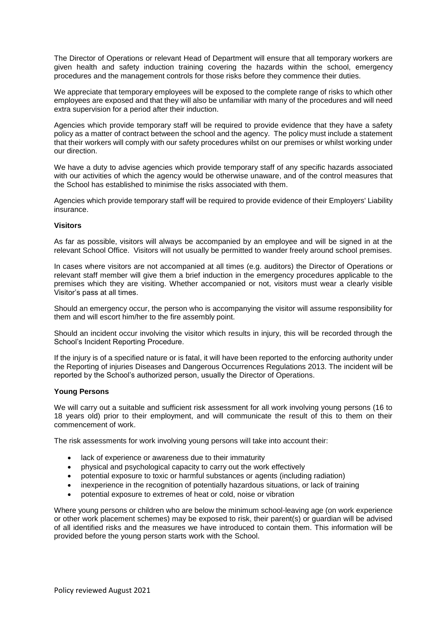The Director of Operations or relevant Head of Department will ensure that all temporary workers are given health and safety induction training covering the hazards within the school, emergency procedures and the management controls for those risks before they commence their duties.

We appreciate that temporary employees will be exposed to the complete range of risks to which other employees are exposed and that they will also be unfamiliar with many of the procedures and will need extra supervision for a period after their induction.

Agencies which provide temporary staff will be required to provide evidence that they have a safety policy as a matter of contract between the school and the agency. The policy must include a statement that their workers will comply with our safety procedures whilst on our premises or whilst working under our direction.

We have a duty to advise agencies which provide temporary staff of any specific hazards associated with our activities of which the agency would be otherwise unaware, and of the control measures that the School has established to minimise the risks associated with them.

Agencies which provide temporary staff will be required to provide evidence of their Employers' Liability insurance.

## **Visitors**

As far as possible, visitors will always be accompanied by an employee and will be signed in at the relevant School Office. Visitors will not usually be permitted to wander freely around school premises.

In cases where visitors are not accompanied at all times (e.g. auditors) the Director of Operations or relevant staff member will give them a brief induction in the emergency procedures applicable to the premises which they are visiting. Whether accompanied or not, visitors must wear a clearly visible Visitor's pass at all times.

Should an emergency occur, the person who is accompanying the visitor will assume responsibility for them and will escort him/her to the fire assembly point.

Should an incident occur involving the visitor which results in injury, this will be recorded through the School's Incident Reporting Procedure.

If the injury is of a specified nature or is fatal, it will have been reported to the enforcing authority under the Reporting of injuries Diseases and Dangerous Occurrences Regulations 2013. The incident will be reported by the School's authorized person, usually the Director of Operations.

#### **Young Persons**

We will carry out a suitable and sufficient risk assessment for all work involving young persons (16 to 18 years old) prior to their employment, and will communicate the result of this to them on their commencement of work.

The risk assessments for work involving young persons will take into account their:

- lack of experience or awareness due to their immaturity
- physical and psychological capacity to carry out the work effectively
- potential exposure to toxic or harmful substances or agents (including radiation)
- inexperience in the recognition of potentially hazardous situations, or lack of training
- potential exposure to extremes of heat or cold, noise or vibration

Where young persons or children who are below the minimum school-leaving age (on work experience or other work placement schemes) may be exposed to risk, their parent(s) or guardian will be advised of all identified risks and the measures we have introduced to contain them. This information will be provided before the young person starts work with the School.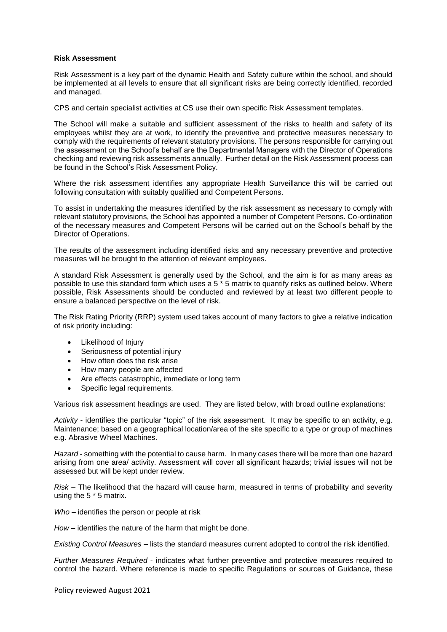#### **Risk Assessment**

Risk Assessment is a key part of the dynamic Health and Safety culture within the school, and should be implemented at all levels to ensure that all significant risks are being correctly identified, recorded and managed.

CPS and certain specialist activities at CS use their own specific Risk Assessment templates.

The School will make a suitable and sufficient assessment of the risks to health and safety of its employees whilst they are at work, to identify the preventive and protective measures necessary to comply with the requirements of relevant statutory provisions. The persons responsible for carrying out the assessment on the School's behalf are the Departmental Managers with the Director of Operations checking and reviewing risk assessments annually. Further detail on the Risk Assessment process can be found in the School's Risk Assessment Policy.

Where the risk assessment identifies any appropriate Health Surveillance this will be carried out following consultation with suitably qualified and Competent Persons.

To assist in undertaking the measures identified by the risk assessment as necessary to comply with relevant statutory provisions, the School has appointed a number of Competent Persons. Co-ordination of the necessary measures and Competent Persons will be carried out on the School's behalf by the Director of Operations.

The results of the assessment including identified risks and any necessary preventive and protective measures will be brought to the attention of relevant employees.

A standard Risk Assessment is generally used by the School, and the aim is for as many areas as possible to use this standard form which uses a 5 \* 5 matrix to quantify risks as outlined below. Where possible, Risk Assessments should be conducted and reviewed by at least two different people to ensure a balanced perspective on the level of risk.

The Risk Rating Priority (RRP) system used takes account of many factors to give a relative indication of risk priority including:

- Likelihood of Injury
- Seriousness of potential injury
- How often does the risk arise
- How many people are affected
- Are effects catastrophic, immediate or long term
- Specific legal requirements.

Various risk assessment headings are used. They are listed below, with broad outline explanations:

*Activity* - identifies the particular "topic" of the risk assessment. It may be specific to an activity, e.g. Maintenance; based on a geographical location/area of the site specific to a type or group of machines e.g. Abrasive Wheel Machines.

*Hazard* - something with the potential to cause harm. In many cases there will be more than one hazard arising from one area/ activity. Assessment will cover all significant hazards; trivial issues will not be assessed but will be kept under review.

*Risk –* The likelihood that the hazard will cause harm, measured in terms of probability and severity using the 5 \* 5 matrix.

*Who* – identifies the person or people at risk

*How* – identifies the nature of the harm that might be done.

*Existing Control Measures* – lists the standard measures current adopted to control the risk identified.

*Further Measures Required* - indicates what further preventive and protective measures required to control the hazard. Where reference is made to specific Regulations or sources of Guidance, these